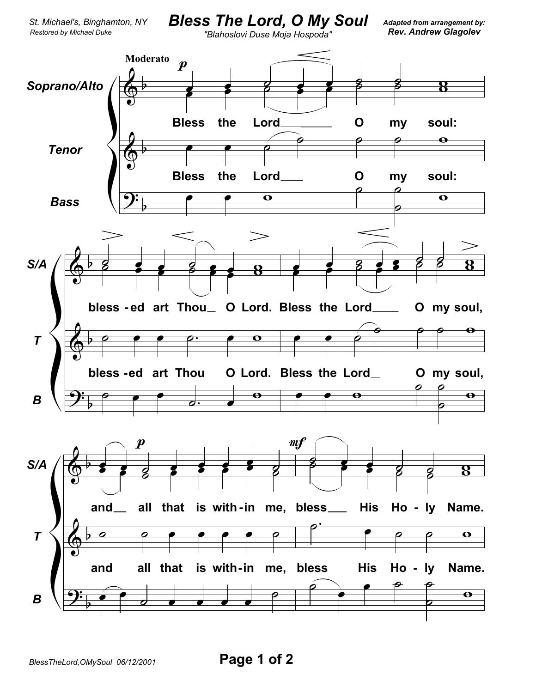